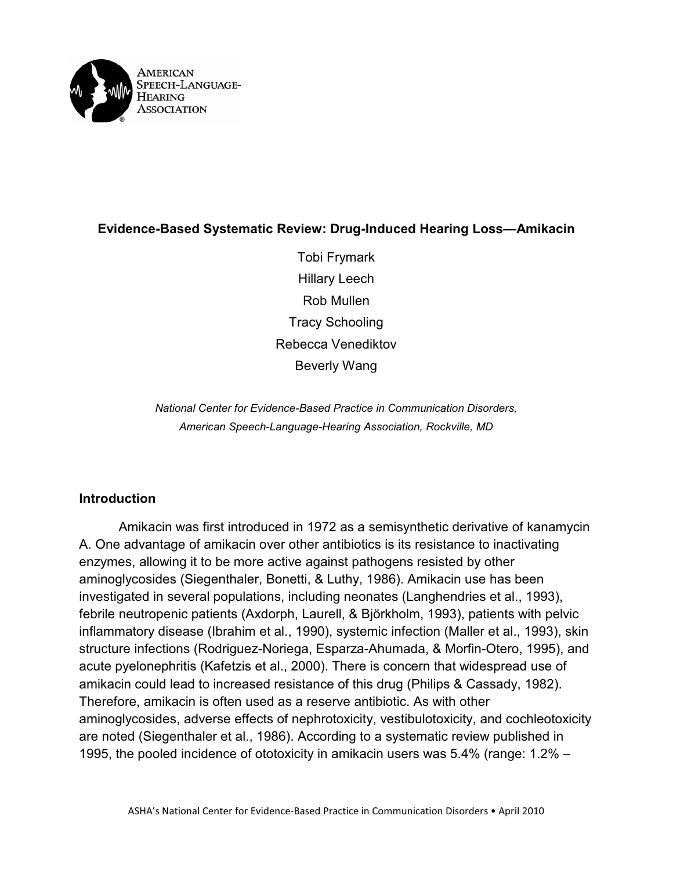

# **Evidence-Based Systematic Review: Drug-Induced Hearing Loss—Amikacin**

Tobi Frymark Hillary Leech Rob Mullen Tracy Schooling Rebecca Venediktov Beverly Wang

*National Center for Evidence-Based Practice in Communication Disorders, American Speech-Language-Hearing Association, Rockville, MD*

## **Introduction**

Amikacin was first introduced in 1972 as a semisynthetic derivative of kanamycin A. One advantage of amikacin over other antibiotics is its resistance to inactivating enzymes, allowing it to be more active against pathogens resisted by other aminoglycosides (Siegenthaler, Bonetti, & Luthy, 1986). Amikacin use has been investigated in several populations, including neonates (Langhendries et al., 1993), febrile neutropenic patients (Axdorph, Laurell, & Björkholm, 1993), patients with pelvic inflammatory disease (Ibrahim et al., 1990), systemic infection (Maller et al., 1993), skin structure infections (Rodriguez-Noriega, Esparza-Ahumada, & Morfin-Otero, 1995), and acute pyelonephritis (Kafetzis et al., 2000). There is concern that widespread use of amikacin could lead to increased resistance of this drug (Philips & Cassady, 1982). Therefore, amikacin is often used as a reserve antibiotic. As with other aminoglycosides, adverse effects of nephrotoxicity, vestibulotoxicity, and cochleotoxicity are noted (Siegenthaler et al., 1986). According to a systematic review published in 1995, the pooled incidence of ototoxicity in amikacin users was 5.4% (range: 1.2% –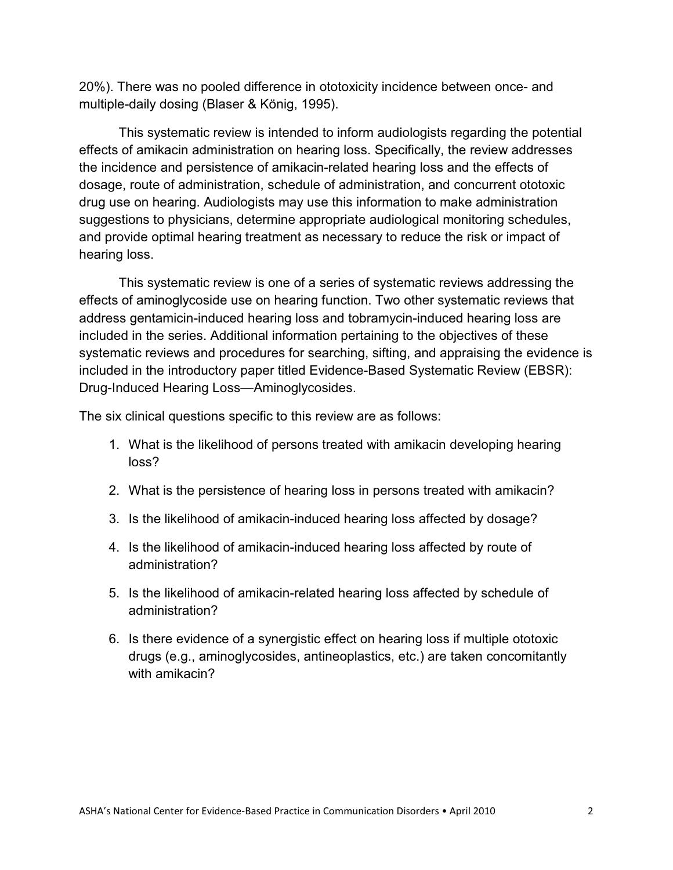20%). There was no pooled difference in ototoxicity incidence between once- and multiple-daily dosing (Blaser & König, 1995).

This systematic review is intended to inform audiologists regarding the potential effects of amikacin administration on hearing loss. Specifically, the review addresses the incidence and persistence of amikacin-related hearing loss and the effects of dosage, route of administration, schedule of administration, and concurrent ototoxic drug use on hearing. Audiologists may use this information to make administration suggestions to physicians, determine appropriate audiological monitoring schedules, and provide optimal hearing treatment as necessary to reduce the risk or impact of hearing loss.

This systematic review is one of a series of systematic reviews addressing the effects of aminoglycoside use on hearing function. Two other systematic reviews that address gentamicin-induced hearing loss and tobramycin-induced hearing loss are included in the series. Additional information pertaining to the objectives of these systematic reviews and procedures for searching, sifting, and appraising the evidence is included in the introductory paper titled Evidence-Based Systematic Review (EBSR): Drug-Induced Hearing Loss—Aminoglycosides.

The six clinical questions specific to this review are as follows:

- 1. What is the likelihood of persons treated with amikacin developing hearing loss?
- 2. What is the persistence of hearing loss in persons treated with amikacin?
- 3. Is the likelihood of amikacin-induced hearing loss affected by dosage?
- 4. Is the likelihood of amikacin-induced hearing loss affected by route of administration?
- 5. Is the likelihood of amikacin-related hearing loss affected by schedule of administration?
- 6. Is there evidence of a synergistic effect on hearing loss if multiple ototoxic drugs (e.g., aminoglycosides, antineoplastics, etc.) are taken concomitantly with amikacin?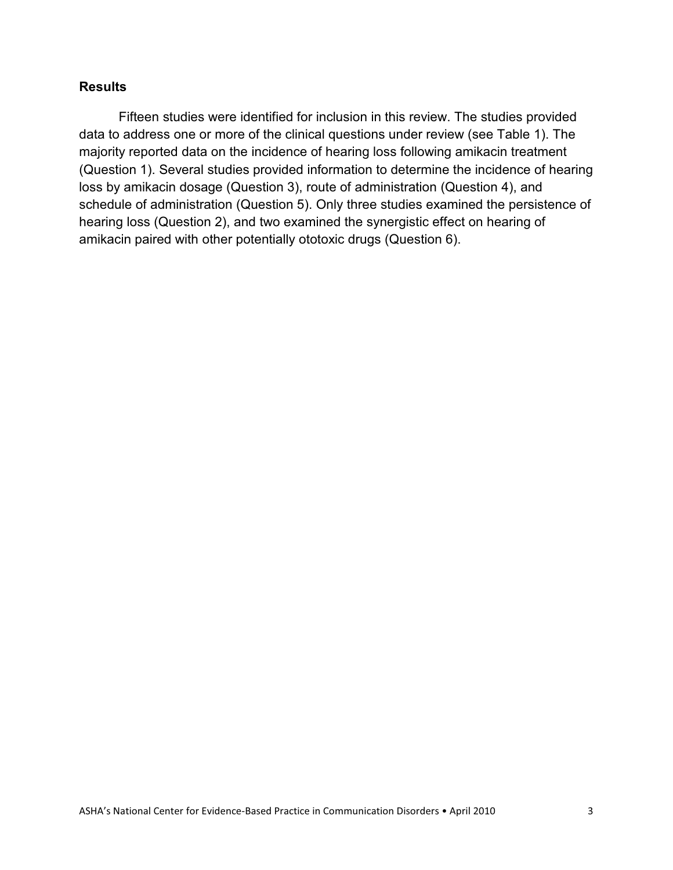## **Results**

Fifteen studies were identified for inclusion in this review. The studies provided data to address one or more of the clinical questions under review (see Table 1). The majority reported data on the incidence of hearing loss following amikacin treatment (Question 1). Several studies provided information to determine the incidence of hearing loss by amikacin dosage (Question 3), route of administration (Question 4), and schedule of administration (Question 5). Only three studies examined the persistence of hearing loss (Question 2), and two examined the synergistic effect on hearing of amikacin paired with other potentially ototoxic drugs (Question 6).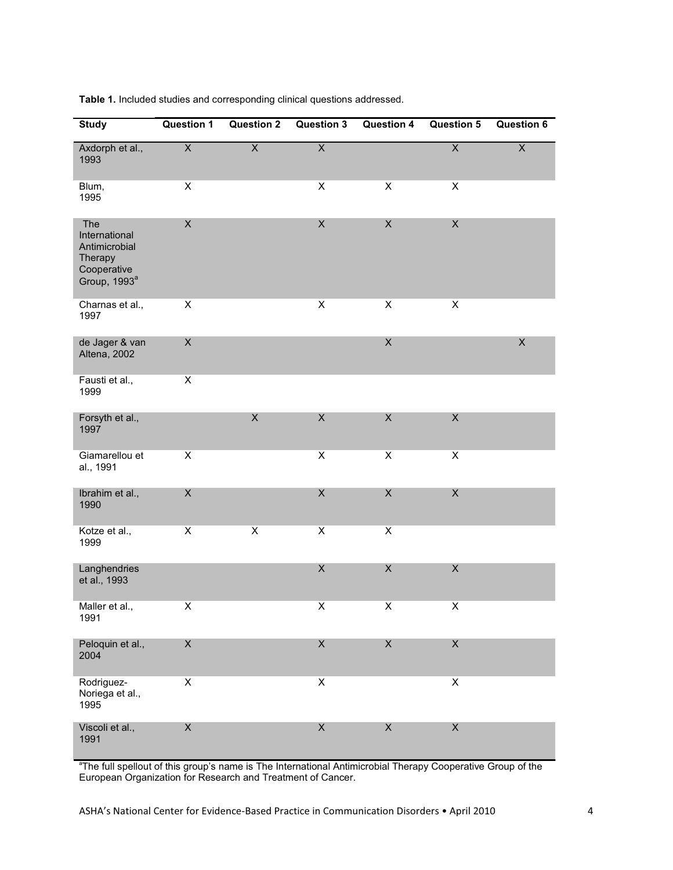| <b>Study</b>                                                                                | <b>Question 1</b>         | <b>Question 2</b>       | <b>Question 3</b>       | <b>Question 4</b>         | <b>Question 5</b>         | <b>Question 6</b> |
|---------------------------------------------------------------------------------------------|---------------------------|-------------------------|-------------------------|---------------------------|---------------------------|-------------------|
| Axdorph et al.,<br>1993                                                                     | $\overline{\mathsf{X}}$   | $\overline{\mathsf{X}}$ | $\overline{\mathsf{X}}$ |                           | $\overline{\mathsf{X}}$   | $\overline{X}$    |
| Blum,<br>1995                                                                               | $\pmb{\times}$            |                         | $\overline{\mathsf{X}}$ | $\pmb{\times}$            | $\overline{\mathsf{X}}$   |                   |
| The<br>International<br>Antimicrobial<br>Therapy<br>Cooperative<br>Group, 1993 <sup>a</sup> | $\mathsf X$               |                         | $\sf X$                 | $\mathsf X$               | $\mathsf X$               |                   |
| Charnas et al.,<br>1997                                                                     | X                         |                         | $\overline{\mathsf{X}}$ | $\pmb{\times}$            | $\overline{\mathsf{x}}$   |                   |
| de Jager & van<br>Altena, 2002                                                              | $\mathsf X$               |                         |                         | $\mathsf X$               |                           | $\mathsf X$       |
| Fausti et al.,<br>1999                                                                      | $\mathsf X$               |                         |                         |                           |                           |                   |
| Forsyth et al.,<br>1997                                                                     |                           | $\pmb{\mathsf{X}}$      | $\mathsf X$             | $\mathsf X$               | $\boldsymbol{\mathsf{X}}$ |                   |
| Giamarellou et<br>al., 1991                                                                 | $\pmb{\times}$            |                         | $\pmb{\mathsf{X}}$      | $\pmb{\times}$            | $\pmb{\times}$            |                   |
| Ibrahim et al.,<br>1990                                                                     | $\boldsymbol{\mathsf{X}}$ |                         | $\sf X$                 | X                         | $\mathsf X$               |                   |
| Kotze et al.,<br>1999                                                                       | $\pmb{\times}$            | $\overline{\mathsf{X}}$ | Χ                       | $\overline{\mathsf{X}}$   |                           |                   |
| Langhendries<br>et al., 1993                                                                |                           |                         | $\sf X$                 | $\mathsf X$               | $\mathsf X$               |                   |
| Maller et al.,<br>1991                                                                      | X                         |                         | X                       | X                         | X                         |                   |
| Peloquin et al.,<br>2004                                                                    | $\boldsymbol{\mathsf{X}}$ |                         | $\mathsf X$             | $\mathsf X$               | $\mathsf X$               |                   |
| Rodriguez-<br>Noriega et al.,<br>1995                                                       | $\overline{\mathsf{X}}$   |                         | $\overline{\mathsf{X}}$ |                           | $\pmb{\times}$            |                   |
| Viscoli et al.,<br>1991                                                                     | $\mathsf X$               |                         | $\mathsf X$             | $\boldsymbol{\mathsf{X}}$ | $\boldsymbol{\mathsf{X}}$ |                   |

**Table 1.** Included studies and corresponding clinical questions addressed.

<sup>a</sup>The full spellout of this group's name is The International Antimicrobial Therapy Cooperative Group of the European Organization for Research and Treatment of Cancer.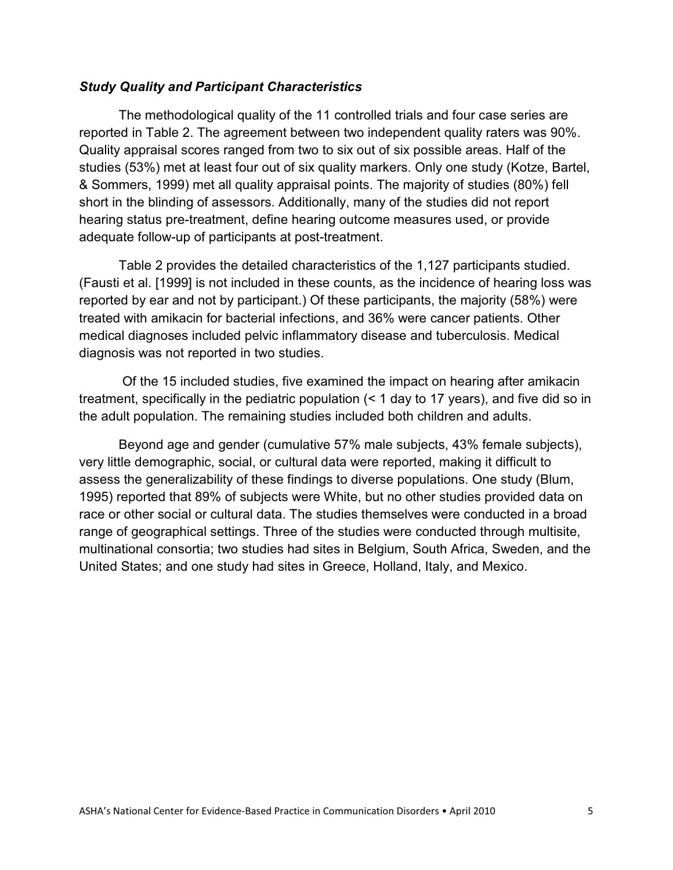#### *Study Quality and Participant Characteristics*

The methodological quality of the 11 controlled trials and four case series are reported in Table 2. The agreement between two independent quality raters was 90%. Quality appraisal scores ranged from two to six out of six possible areas. Half of the studies (53%) met at least four out of six quality markers. Only one study (Kotze, Bartel, & Sommers, 1999) met all quality appraisal points. The majority of studies (80%) fell short in the blinding of assessors. Additionally, many of the studies did not report hearing status pre-treatment, define hearing outcome measures used, or provide adequate follow-up of participants at post-treatment.

Table 2 provides the detailed characteristics of the 1,127 participants studied. (Fausti et al. [1999] is not included in these counts, as the incidence of hearing loss was reported by ear and not by participant.) Of these participants, the majority (58%) were treated with amikacin for bacterial infections, and 36% were cancer patients. Other medical diagnoses included pelvic inflammatory disease and tuberculosis. Medical diagnosis was not reported in two studies.

Of the 15 included studies, five examined the impact on hearing after amikacin treatment, specifically in the pediatric population (< 1 day to 17 years), and five did so in the adult population. The remaining studies included both children and adults.

Beyond age and gender (cumulative 57% male subjects, 43% female subjects), very little demographic, social, or cultural data were reported, making it difficult to assess the generalizability of these findings to diverse populations. One study (Blum, 1995) reported that 89% of subjects were White, but no other studies provided data on race or other social or cultural data. The studies themselves were conducted in a broad range of geographical settings. Three of the studies were conducted through multisite, multinational consortia; two studies had sites in Belgium, South Africa, Sweden, and the United States; and one study had sites in Greece, Holland, Italy, and Mexico.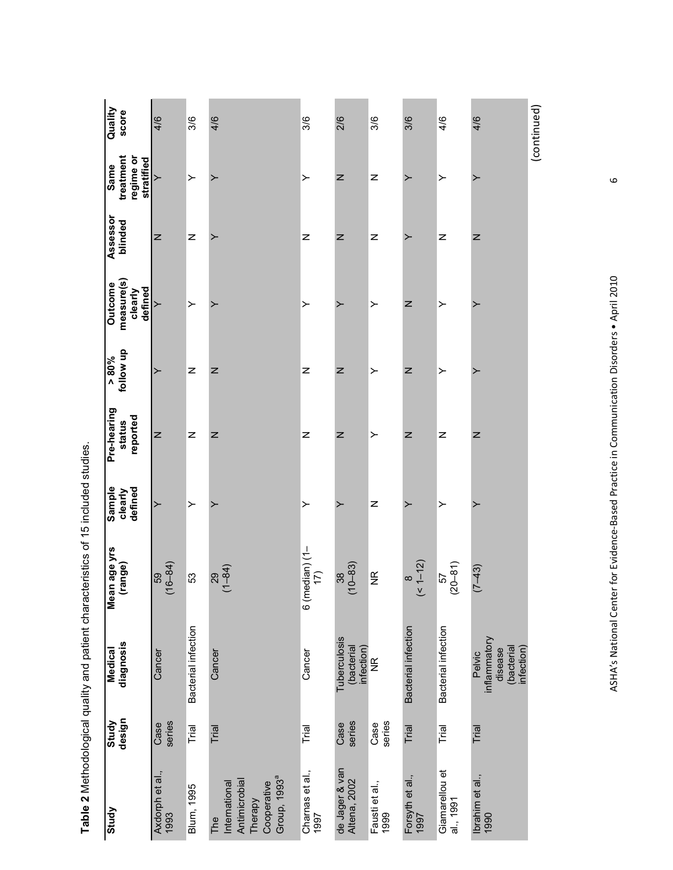| Quality<br>score                             | 4/6                     | 3/6                 | 4/6                                                                                         | 3/6                     | 2/6                                      | 3/6                    | 3/6                     | 4/6                         | 4/6                                                           | (continued) |
|----------------------------------------------|-------------------------|---------------------|---------------------------------------------------------------------------------------------|-------------------------|------------------------------------------|------------------------|-------------------------|-----------------------------|---------------------------------------------------------------|-------------|
| treatment<br>regime or<br>stratified<br>Same | $\succ$                 | ≻                   |                                                                                             | ≻                       | z                                        | Z                      |                         | ≻                           | ≻                                                             |             |
| Assessor<br>blinded                          | Z                       | Z                   | ≻                                                                                           | Z                       | z                                        | Z                      | ≻                       | Z                           | Z                                                             |             |
| measure(s)<br>Outcome<br>defined<br>clearly  |                         | ≻                   |                                                                                             | $\succ$                 | ≻                                        | ≻                      | z                       | ≻                           | ≻                                                             |             |
| follow up<br>$\frac{9}{608}$                 | ≻                       | z                   | Z                                                                                           | Z                       | Z                                        | ≻                      | z                       | ≻                           |                                                               |             |
| Pre-hearing<br>reported<br>status            | Z                       | Z                   | Z                                                                                           | Z                       | Z                                        | ≻                      | z                       | Z                           | Z                                                             |             |
| Sample<br>defined<br>clearly                 | ≻                       | ≻                   |                                                                                             | ≻                       | ≻                                        | Z                      |                         | ≻                           |                                                               |             |
| Mean age yrs<br>(range)                      | $(16 - 84)$<br>59       | 53                  | $(1 - 84)$<br>29                                                                            | 6 (median) (1- $17$ )   | $(10 - 83)$<br>38                        | $\frac{\alpha}{\beta}$ | $(51 - 12)$<br>$\infty$ | $(20 - 81)$<br>57           | $(7 - 43)$                                                    |             |
| diagnosis<br><b>Medical</b>                  | Cancer                  | Bacterial infection | Cancer                                                                                      | Cancer                  | Tuberculosis<br>(bacterial<br>infection) | $\frac{\alpha}{2}$     | Bacterial infection     | Bacterial infection         | inflammatory<br>(bacterial<br>infection)<br>disease<br>Pelvic |             |
| design<br>Study                              | series<br>Case          | Trial               | Trial                                                                                       | Trial                   | series<br>Case                           | series<br>Case         | Trial                   | Trial                       | Trial                                                         |             |
| Study                                        | Axdorph et al.,<br>1993 | Blum, 1995          | Group, 1993 <sup>ª</sup><br>Antimicrobial<br>Cooperative<br>International<br>Therapy<br>The | Charnas et al.,<br>1997 | de Jager & van<br>Altena, 2002           | Fausti et al.,<br>1999 | Forsyth et al.,<br>1997 | Giamarellou et<br>al., 1991 | Ibrahim et al.,<br>1990                                       |             |

Table 2 Methodological quality and patient characteristics of 15 included studies. **Table 2** Methodological quality and patient characteristics of 15 included studies.

ASHA's National Center for Evidence-Based Practice in Communication Disorders • April 2010 6 ASHA's National Center for Evidence-Based Practice in Communication Disorders . April 2010

 $\circ$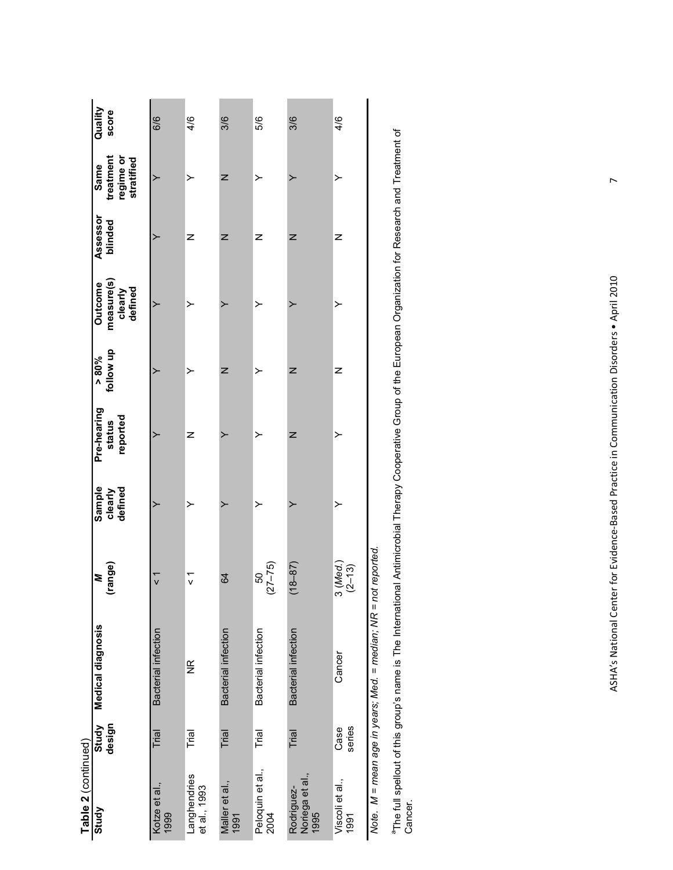| Table 2 (continued)                   |                 |                                                               |                        |                              |                                   |                       |                                                    |                     |                                              |                  |
|---------------------------------------|-----------------|---------------------------------------------------------------|------------------------|------------------------------|-----------------------------------|-----------------------|----------------------------------------------------|---------------------|----------------------------------------------|------------------|
| Study                                 | Study<br>design | Medical diagnosis                                             | range)<br>≋            | Sample<br>defined<br>clearly | Pre-hearing<br>reported<br>status | follow up<br>$> 80\%$ | measure(s)<br><b>Outcome</b><br>defined<br>clearly | Assessor<br>blinded | treatment<br>regime or<br>stratified<br>Same | Quality<br>score |
| Kotze et al.,<br>1999                 | Trial           | Bacterial infection                                           | ั<br>v                 | >                            |                                   |                       | ≻                                                  |                     | ≻                                            | 6/6              |
| Langhendries<br>et al., 1993          | Trial           | $\frac{\alpha}{2}$                                            | $\frac{1}{\sqrt{2}}$   | ≻                            | z                                 | ≻                     | ≻                                                  | z                   | ≻                                            | 4/6              |
| Maller et al.,<br>1991                | Trial           | <b>Bacterial infection</b>                                    | 64                     | ≻                            | ≻                                 | Z                     | ≻                                                  | Z                   | Z                                            | 3/6              |
| Peloquin et al.,<br>2004              | Trial           | Bacterial infection                                           | (5/–75)<br>50          | ≻                            | ≻                                 | ≻                     | ≻                                                  | z                   | ≻                                            | 5/6              |
| Noriega et al.,<br>Rodriguez-<br>1995 | Trial           | Bacterial infection                                           | $(18 - 87)$            | ≻                            | Z                                 | Z                     | ≻                                                  | Z                   | ≻                                            | 3/6              |
| Viscoli et al.,<br>1991               | series<br>Case  | Cancer                                                        | 3 (Med.)<br>$(2 - 13)$ | ≻                            | ≻                                 | Z                     | ≻                                                  | z                   | ≻                                            | 4/6              |
|                                       |                 | Note. M = mean age in vears: Med. = median: NR = not reported |                        |                              |                                   |                       |                                                    |                     |                                              |                  |

Note. M = mean age in years; Med. = median; NR = not reported. Ļ  $\zeta$ ָטֶ

aThe full spellout of this group's name is The International Antimicrobial Therapy Cooperative Group of the European Organization for Research and Treatment of <sup>a</sup>The full spellout of this group's name is The International Antimicrobial Therapy Cooperative Group of the European Organization for Research and Treatment of<br>Cancer.

ASHA's National Center for Evidence-Based Practice in Communication Disorders • April 2010 7 ASHA's National Center for Evidence-Based Practice in Communication Disorders . April 2010

 $\overline{a}$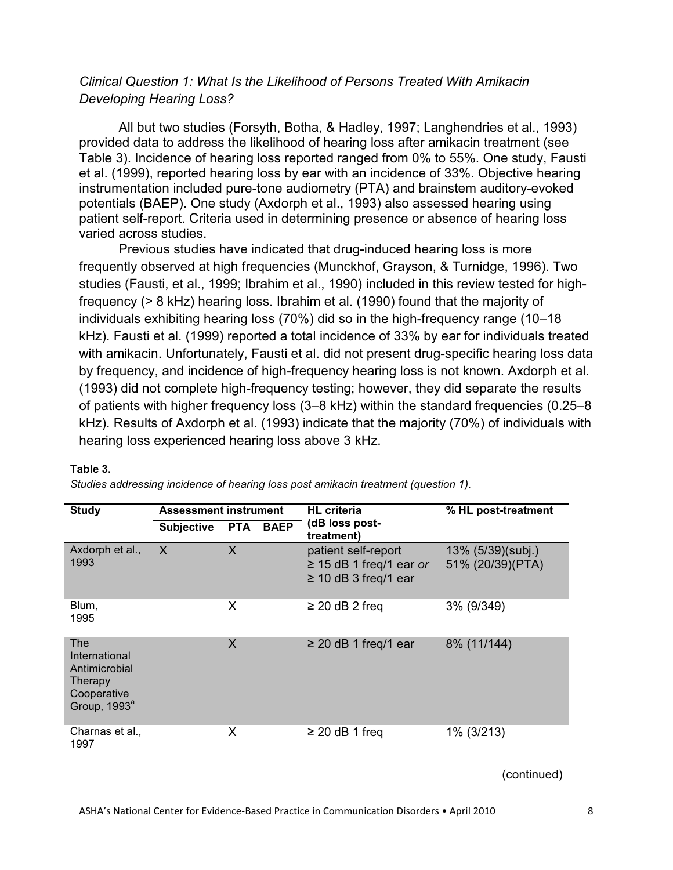## *Clinical Question 1: What Is the Likelihood of Persons Treated With Amikacin Developing Hearing Loss?*

All but two studies (Forsyth, Botha, & Hadley, 1997; Langhendries et al., 1993) provided data to address the likelihood of hearing loss after amikacin treatment (see Table 3). Incidence of hearing loss reported ranged from 0% to 55%. One study, Fausti et al. (1999), reported hearing loss by ear with an incidence of 33%. Objective hearing instrumentation included pure-tone audiometry (PTA) and brainstem auditory-evoked potentials (BAEP). One study (Axdorph et al., 1993) also assessed hearing using patient self-report. Criteria used in determining presence or absence of hearing loss varied across studies.

Previous studies have indicated that drug-induced hearing loss is more frequently observed at high frequencies (Munckhof, Grayson, & Turnidge, 1996). Two studies (Fausti, et al., 1999; Ibrahim et al., 1990) included in this review tested for highfrequency (> 8 kHz) hearing loss. Ibrahim et al. (1990) found that the majority of individuals exhibiting hearing loss (70%) did so in the high-frequency range (10–18 kHz). Fausti et al. (1999) reported a total incidence of 33% by ear for individuals treated with amikacin. Unfortunately, Fausti et al. did not present drug-specific hearing loss data by frequency, and incidence of high-frequency hearing loss is not known. Axdorph et al. (1993) did not complete high-frequency testing; however, they did separate the results of patients with higher frequency loss (3–8 kHz) within the standard frequencies (0.25–8 kHz). Results of Axdorph et al. (1993) indicate that the majority (70%) of individuals with hearing loss experienced hearing loss above 3 kHz.

| <b>Study</b>                                                                                | <b>Assessment instrument</b> |         |                 | <b>HL</b> criteria                                                               | % HL post-treatment                   |
|---------------------------------------------------------------------------------------------|------------------------------|---------|-----------------|----------------------------------------------------------------------------------|---------------------------------------|
|                                                                                             | <b>Subjective</b>            |         | <b>PTA BAEP</b> | (dB loss post-<br>treatment)                                                     |                                       |
| Axdorph et al.,<br>1993                                                                     | $\mathsf{X}$                 | X       |                 | patient self-report<br>$\geq$ 15 dB 1 freq/1 ear or<br>$\geq$ 10 dB 3 freq/1 ear | 13% (5/39)(subj.)<br>51% (20/39)(PTA) |
| Blum,<br>1995                                                                               |                              | X       |                 | $\geq$ 20 dB 2 freq                                                              | 3% (9/349)                            |
| The<br>International<br>Antimicrobial<br>Therapy<br>Cooperative<br>Group, 1993 <sup>ª</sup> |                              | $\sf X$ |                 | $\geq$ 20 dB 1 freq/1 ear                                                        | 8% (11/144)                           |
| Charnas et al.,<br>1997                                                                     |                              | X       |                 | $\geq$ 20 dB 1 freq                                                              | 1% (3/213)                            |

#### **Table 3.**

*Studies addressing incidence of hearing loss post amikacin treatment (question 1).*

(continued)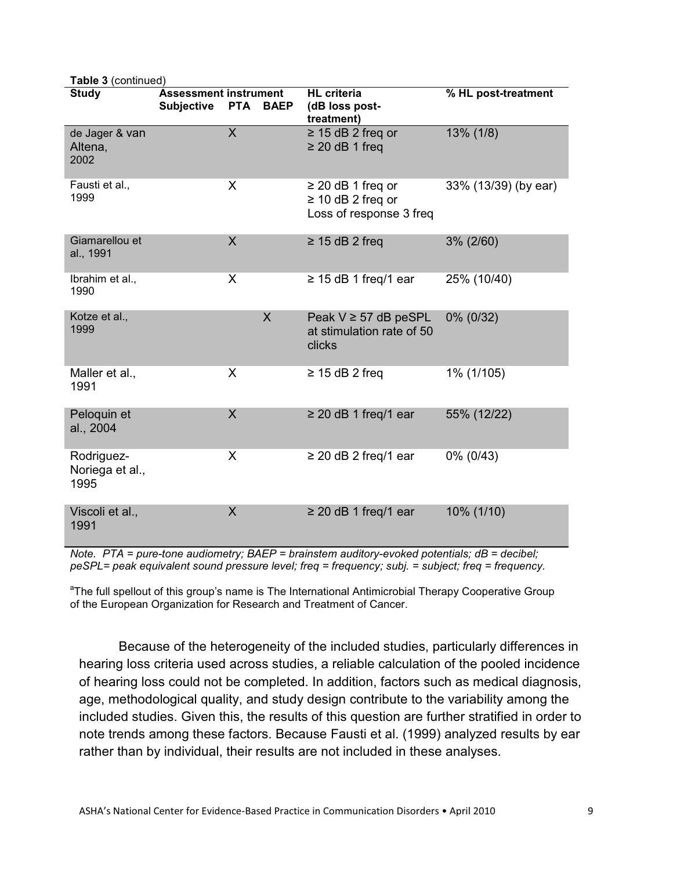| <b>Table 3 (continued)</b>            | <b>Assessment instrument</b> |                           | <b>HL</b> criteria                                                          |                      |
|---------------------------------------|------------------------------|---------------------------|-----------------------------------------------------------------------------|----------------------|
| <b>Study</b>                          | <b>Subjective</b>            | <b>PTA</b><br><b>BAEP</b> | (dB loss post-<br>treatment)                                                | % HL post-treatment  |
| de Jager & van<br>Altena,<br>2002     |                              | $\overline{\mathsf{X}}$   | $\geq$ 15 dB 2 freq or<br>$\geq$ 20 dB 1 freq                               | 13% (1/8)            |
| Fausti et al.,<br>1999                |                              | X                         | $\geq$ 20 dB 1 freq or<br>$\geq$ 10 dB 2 freq or<br>Loss of response 3 freq | 33% (13/39) (by ear) |
| Giamarellou et<br>al., 1991           |                              | $\sf X$                   | $\geq$ 15 dB 2 freq                                                         | $3\% (2/60)$         |
| Ibrahim et al.,<br>1990               |                              | X                         | $\geq$ 15 dB 1 freq/1 ear                                                   | 25% (10/40)          |
| Kotze et al.,<br>1999                 |                              | $\sf X$                   | Peak $V \geq 57$ dB peSPL<br>at stimulation rate of 50<br>clicks            | 0% (0/32)            |
| Maller et al.,<br>1991                |                              | X                         | $\geq$ 15 dB 2 freq                                                         | 1% (1/105)           |
| Peloquin et<br>al., 2004              |                              | $\sf X$                   | $\geq$ 20 dB 1 freq/1 ear                                                   | 55% (12/22)          |
| Rodriguez-<br>Noriega et al.,<br>1995 |                              | X                         | $\geq$ 20 dB 2 freq/1 ear                                                   | 0% (0/43)            |
| Viscoli et al.,<br>1991               |                              | X                         | $\geq$ 20 dB 1 freq/1 ear                                                   | 10% (1/10)           |

*Note. PTA = pure-tone audiometry; BAEP = brainstem auditory-evoked potentials; dB = decibel; peSPL= peak equivalent sound pressure level; freq = frequency; subj. = subject; freq = frequency.*

<sup>a</sup>The full spellout of this group's name is The International Antimicrobial Therapy Cooperative Group of the European Organization for Research and Treatment of Cancer.

Because of the heterogeneity of the included studies, particularly differences in hearing loss criteria used across studies, a reliable calculation of the pooled incidence of hearing loss could not be completed. In addition, factors such as medical diagnosis, age, methodological quality, and study design contribute to the variability among the included studies. Given this, the results of this question are further stratified in order to note trends among these factors. Because Fausti et al. (1999) analyzed results by ear rather than by individual, their results are not included in these analyses.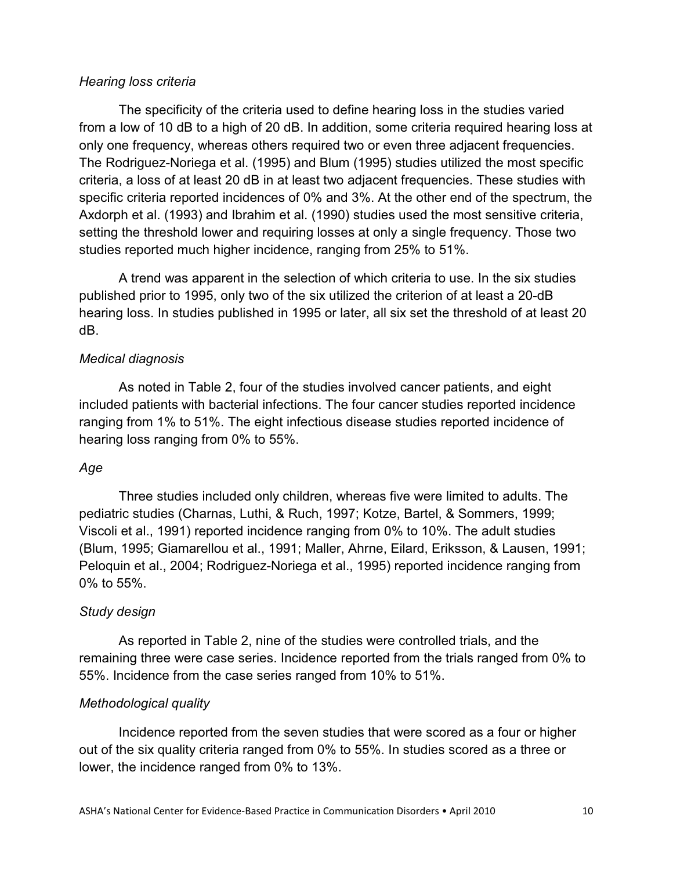#### *Hearing loss criteria*

The specificity of the criteria used to define hearing loss in the studies varied from a low of 10 dB to a high of 20 dB. In addition, some criteria required hearing loss at only one frequency, whereas others required two or even three adjacent frequencies. The Rodriguez-Noriega et al. (1995) and Blum (1995) studies utilized the most specific criteria, a loss of at least 20 dB in at least two adjacent frequencies. These studies with specific criteria reported incidences of 0% and 3%. At the other end of the spectrum, the Axdorph et al. (1993) and Ibrahim et al. (1990) studies used the most sensitive criteria, setting the threshold lower and requiring losses at only a single frequency. Those two studies reported much higher incidence, ranging from 25% to 51%.

A trend was apparent in the selection of which criteria to use. In the six studies published prior to 1995, only two of the six utilized the criterion of at least a 20-dB hearing loss. In studies published in 1995 or later, all six set the threshold of at least 20 dB.

## *Medical diagnosis*

As noted in Table 2, four of the studies involved cancer patients, and eight included patients with bacterial infections. The four cancer studies reported incidence ranging from 1% to 51%. The eight infectious disease studies reported incidence of hearing loss ranging from 0% to 55%.

## *Age*

Three studies included only children, whereas five were limited to adults. The pediatric studies (Charnas, Luthi, & Ruch, 1997; Kotze, Bartel, & Sommers, 1999; Viscoli et al., 1991) reported incidence ranging from 0% to 10%. The adult studies (Blum, 1995; Giamarellou et al., 1991; Maller, Ahrne, Eilard, Eriksson, & Lausen, 1991; Peloquin et al., 2004; Rodriguez-Noriega et al., 1995) reported incidence ranging from 0% to 55%.

## *Study design*

As reported in Table 2, nine of the studies were controlled trials, and the remaining three were case series. Incidence reported from the trials ranged from 0% to 55%. Incidence from the case series ranged from 10% to 51%.

## *Methodological quality*

Incidence reported from the seven studies that were scored as a four or higher out of the six quality criteria ranged from 0% to 55%. In studies scored as a three or lower, the incidence ranged from 0% to 13%.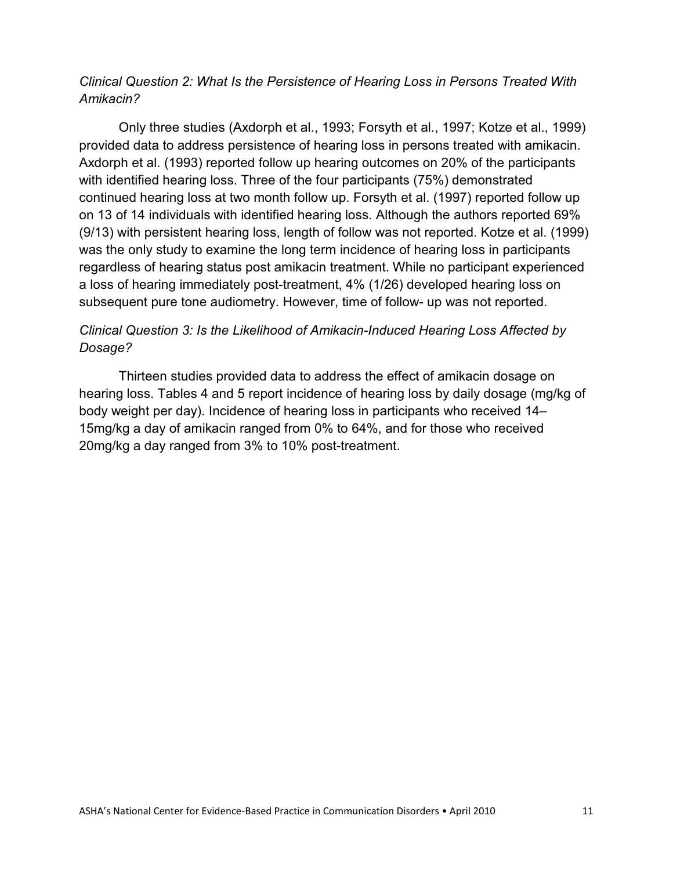## *Clinical Question 2: What Is the Persistence of Hearing Loss in Persons Treated With Amikacin?*

Only three studies (Axdorph et al., 1993; Forsyth et al., 1997; Kotze et al., 1999) provided data to address persistence of hearing loss in persons treated with amikacin. Axdorph et al. (1993) reported follow up hearing outcomes on 20% of the participants with identified hearing loss. Three of the four participants (75%) demonstrated continued hearing loss at two month follow up. Forsyth et al. (1997) reported follow up on 13 of 14 individuals with identified hearing loss. Although the authors reported 69% (9/13) with persistent hearing loss, length of follow was not reported. Kotze et al. (1999) was the only study to examine the long term incidence of hearing loss in participants regardless of hearing status post amikacin treatment. While no participant experienced a loss of hearing immediately post-treatment, 4% (1/26) developed hearing loss on subsequent pure tone audiometry. However, time of follow- up was not reported.

# *Clinical Question 3: Is the Likelihood of Amikacin-Induced Hearing Loss Affected by Dosage?*

Thirteen studies provided data to address the effect of amikacin dosage on hearing loss. Tables 4 and 5 report incidence of hearing loss by daily dosage (mg/kg of body weight per day). Incidence of hearing loss in participants who received 14– 15mg/kg a day of amikacin ranged from 0% to 64%, and for those who received 20mg/kg a day ranged from 3% to 10% post-treatment.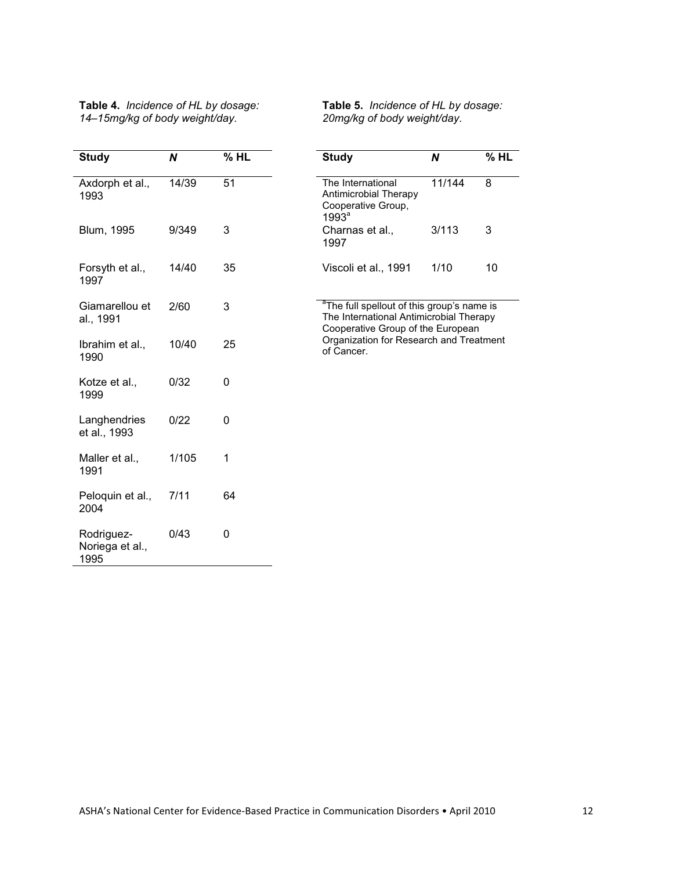| Table 4. Incidence of HL by dosage: |  |
|-------------------------------------|--|
| 14-15mg/kg of body weight/day.      |  |

**Table 5.** *Incidence of HL by dosage: 20mg/kg of body weight/day.*

| <b>Study</b>                          | N     | %HL      | <b>Study</b>                                                                                                                           | N      | $%$ HL |
|---------------------------------------|-------|----------|----------------------------------------------------------------------------------------------------------------------------------------|--------|--------|
| Axdorph et al.,<br>1993               | 14/39 | 51       | The International<br>Antimicrobial Therapy<br>Cooperative Group,<br>1993 <sup>a</sup>                                                  | 11/144 | 8      |
| Blum, 1995                            | 9/349 | 3        | Charnas et al.,<br>1997                                                                                                                | 3/113  | 3      |
| Forsyth et al.,<br>1997               | 14/40 | 35       | Viscoli et al., 1991                                                                                                                   | 1/10   | 10     |
| Giamarellou et<br>al., 1991           | 2/60  | 3        | <sup>a</sup> The full spellout of this group's name is<br>The International Antimicrobial Therapy<br>Cooperative Group of the European |        |        |
| Ibrahim et al.,<br>1990               | 10/40 | 25       | Organization for Research and Treatment<br>of Cancer.                                                                                  |        |        |
| Kotze et al.,<br>1999                 | 0/32  | $\Omega$ |                                                                                                                                        |        |        |
| Langhendries<br>et al., 1993          | 0/22  | $\Omega$ |                                                                                                                                        |        |        |
| Maller et al.,<br>1991                | 1/105 | 1        |                                                                                                                                        |        |        |
| Peloquin et al.,<br>2004              | 7/11  | 64       |                                                                                                                                        |        |        |
| Rodriguez-<br>Noriega et al.,<br>1995 | 0/43  | 0        |                                                                                                                                        |        |        |

ASHA's National Center for Evidence-Based Practice in Communication Disorders • April 2010 12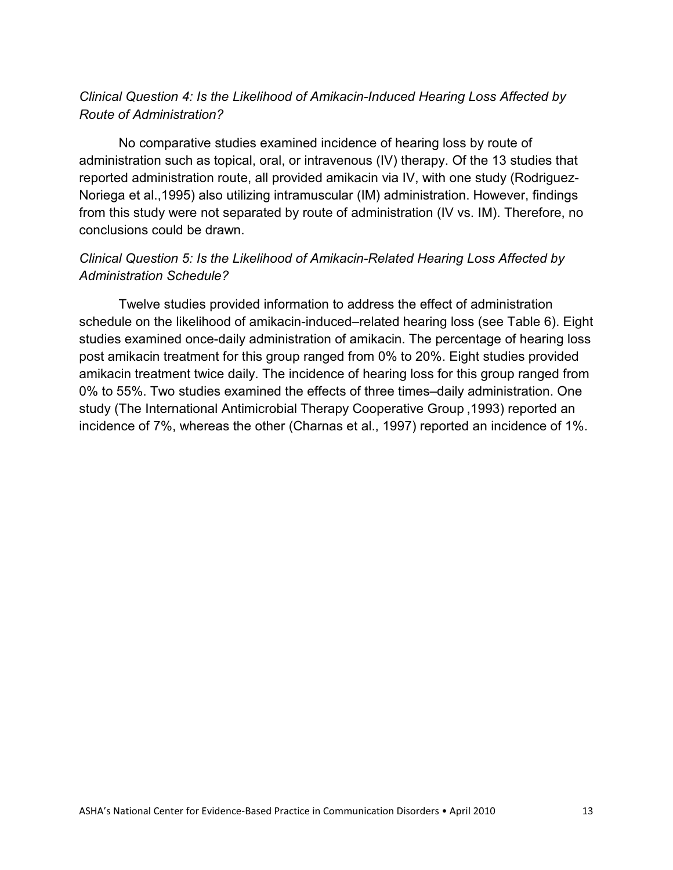# *Clinical Question 4: Is the Likelihood of Amikacin-Induced Hearing Loss Affected by Route of Administration?*

No comparative studies examined incidence of hearing loss by route of administration such as topical, oral, or intravenous (IV) therapy. Of the 13 studies that reported administration route, all provided amikacin via IV, with one study (Rodriguez-Noriega et al.,1995) also utilizing intramuscular (IM) administration. However, findings from this study were not separated by route of administration (IV vs. IM). Therefore, no conclusions could be drawn.

# *Clinical Question 5: Is the Likelihood of Amikacin-Related Hearing Loss Affected by Administration Schedule?*

Twelve studies provided information to address the effect of administration schedule on the likelihood of amikacin-induced–related hearing loss (see Table 6). Eight studies examined once-daily administration of amikacin. The percentage of hearing loss post amikacin treatment for this group ranged from 0% to 20%. Eight studies provided amikacin treatment twice daily. The incidence of hearing loss for this group ranged from 0% to 55%. Two studies examined the effects of three times–daily administration. One study (The International Antimicrobial Therapy Cooperative Group ,1993) reported an incidence of 7%, whereas the other (Charnas et al., 1997) reported an incidence of 1%.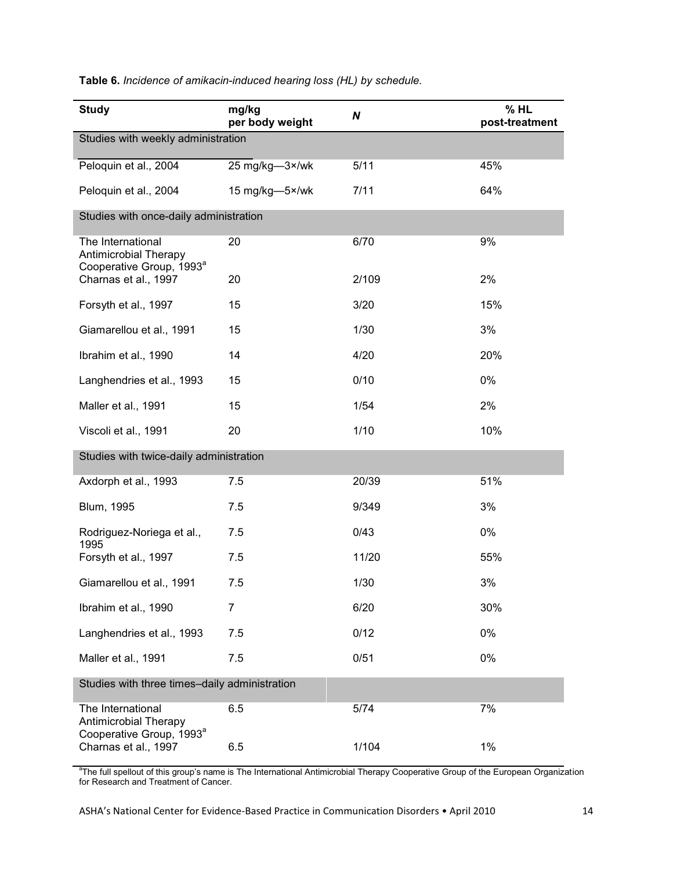| <b>Study</b>                                                                              | mg/kg<br>per body weight | N     | % HL<br>post-treatment |  |  |
|-------------------------------------------------------------------------------------------|--------------------------|-------|------------------------|--|--|
| Studies with weekly administration                                                        |                          |       |                        |  |  |
| Peloquin et al., 2004                                                                     | 25 mg/kg-3×/wk           | 5/11  | 45%                    |  |  |
| Peloquin et al., 2004                                                                     | 15 mg/kg-5×/wk           | 7/11  | 64%                    |  |  |
| Studies with once-daily administration                                                    |                          |       |                        |  |  |
| The International<br>Antimicrobial Therapy<br>Cooperative Group, 1993 <sup>a</sup>        | 20                       | 6/70  | 9%                     |  |  |
| Charnas et al., 1997                                                                      | 20                       | 2/109 | 2%                     |  |  |
| Forsyth et al., 1997                                                                      | 15                       | 3/20  | 15%                    |  |  |
| Giamarellou et al., 1991                                                                  | 15                       | 1/30  | 3%                     |  |  |
| Ibrahim et al., 1990                                                                      | 14                       | 4/20  | 20%                    |  |  |
| Langhendries et al., 1993                                                                 | 15                       | 0/10  | 0%                     |  |  |
| Maller et al., 1991                                                                       | 15                       | 1/54  | 2%                     |  |  |
| Viscoli et al., 1991                                                                      | 20                       | 1/10  | 10%                    |  |  |
| Studies with twice-daily administration                                                   |                          |       |                        |  |  |
| Axdorph et al., 1993                                                                      | 7.5                      | 20/39 | 51%                    |  |  |
| Blum, 1995                                                                                | 7.5                      | 9/349 | 3%                     |  |  |
| Rodriguez-Noriega et al.,<br>1995                                                         | 7.5                      | 0/43  | 0%                     |  |  |
| Forsyth et al., 1997                                                                      | 7.5                      | 11/20 | 55%                    |  |  |
| Giamarellou et al., 1991                                                                  | 7.5                      | 1/30  | 3%                     |  |  |
| Ibrahim et al., 1990                                                                      | 7                        | 6/20  | 30%                    |  |  |
| Langhendries et al., 1993                                                                 | 7.5                      | 0/12  | 0%                     |  |  |
| Maller et al., 1991                                                                       | 7.5                      | 0/51  | 0%                     |  |  |
| Studies with three times-daily administration                                             |                          |       |                        |  |  |
| The International<br><b>Antimicrobial Therapy</b><br>Cooperative Group, 1993 <sup>a</sup> | 6.5                      | 5/74  | 7%                     |  |  |
| Charnas et al., 1997                                                                      | 6.5                      | 1/104 | $1\%$                  |  |  |

**Table 6.** *Incidence of amikacin-induced hearing loss (HL) by schedule.*

<sup>a</sup>The full spellout of this group's name is The International Antimicrobial Therapy Cooperative Group of the European Organization for Research and Treatment of Cancer.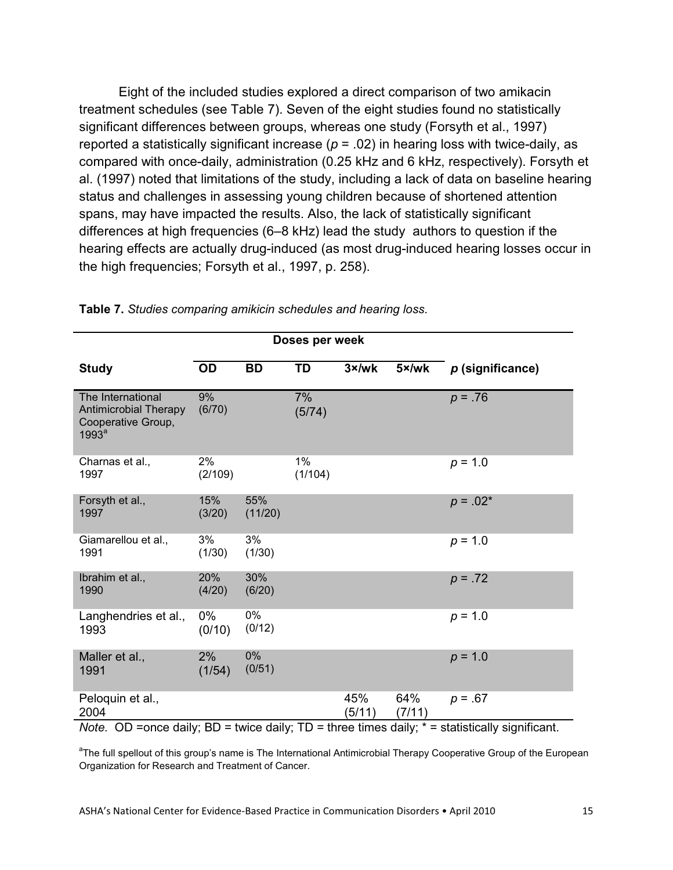Eight of the included studies explored a direct comparison of two amikacin treatment schedules (see Table 7). Seven of the eight studies found no statistically significant differences between groups, whereas one study (Forsyth et al., 1997) reported a statistically significant increase ( $p = .02$ ) in hearing loss with twice-daily, as compared with once-daily, administration (0.25 kHz and 6 kHz, respectively). Forsyth et al. (1997) noted that limitations of the study, including a lack of data on baseline hearing status and challenges in assessing young children because of shortened attention spans, may have impacted the results. Also, the lack of statistically significant differences at high frequencies (6–8 kHz) lead the study authors to question if the hearing effects are actually drug-induced (as most drug-induced hearing losses occur in the high frequencies; Forsyth et al., 1997, p. 258).

|                                                                                              |                 |                 | Doses per week |                |               |                                                                                                      |
|----------------------------------------------------------------------------------------------|-----------------|-----------------|----------------|----------------|---------------|------------------------------------------------------------------------------------------------------|
| <b>Study</b>                                                                                 | <b>OD</b>       | <b>BD</b>       | TD             | $3 \times$ /wk | 5×/wk         | $p$ (significance)                                                                                   |
| The International<br><b>Antimicrobial Therapy</b><br>Cooperative Group,<br>1993 <sup>a</sup> | 9%<br>(6/70)    |                 | 7%<br>(5/74)   |                |               | $p = .76$                                                                                            |
| Charnas et al.,<br>1997                                                                      | 2%<br>(2/109)   |                 | 1%<br>(1/104)  |                |               | $p = 1.0$                                                                                            |
| Forsyth et al.,<br>1997                                                                      | 15%<br>(3/20)   | 55%<br>(11/20)  |                |                |               | $p = .02*$                                                                                           |
| Giamarellou et al.,<br>1991                                                                  | 3%<br>(1/30)    | 3%<br>(1/30)    |                |                |               | $p = 1.0$                                                                                            |
| Ibrahim et al.,<br>1990                                                                      | 20%<br>(4/20)   | 30%<br>(6/20)   |                |                |               | $p = .72$                                                                                            |
| Langhendries et al.,<br>1993                                                                 | $0\%$<br>(0/10) | 0%<br>(0/12)    |                |                |               | $p = 1.0$                                                                                            |
| Maller et al.,<br>1991                                                                       | 2%<br>(1/54)    | $0\%$<br>(0/51) |                |                |               | $p = 1.0$                                                                                            |
| Peloquin et al.,<br>2004                                                                     |                 |                 |                | 45%<br>(5/11)  | 64%<br>(7/11) | $p = .67$                                                                                            |
|                                                                                              |                 |                 |                |                |               | Note. OD =once daily; $BD =$ twice daily; $TD =$ three times daily; $* =$ statistically significant. |

**Table 7.** *Studies comparing amikicin schedules and hearing loss.*

*Note.* OD =once daily; BD = twice daily; TD = three times daily; \* = statistically significant.

<sup>a</sup>The full spellout of this group's name is The International Antimicrobial Therapy Cooperative Group of the European Organization for Research and Treatment of Cancer.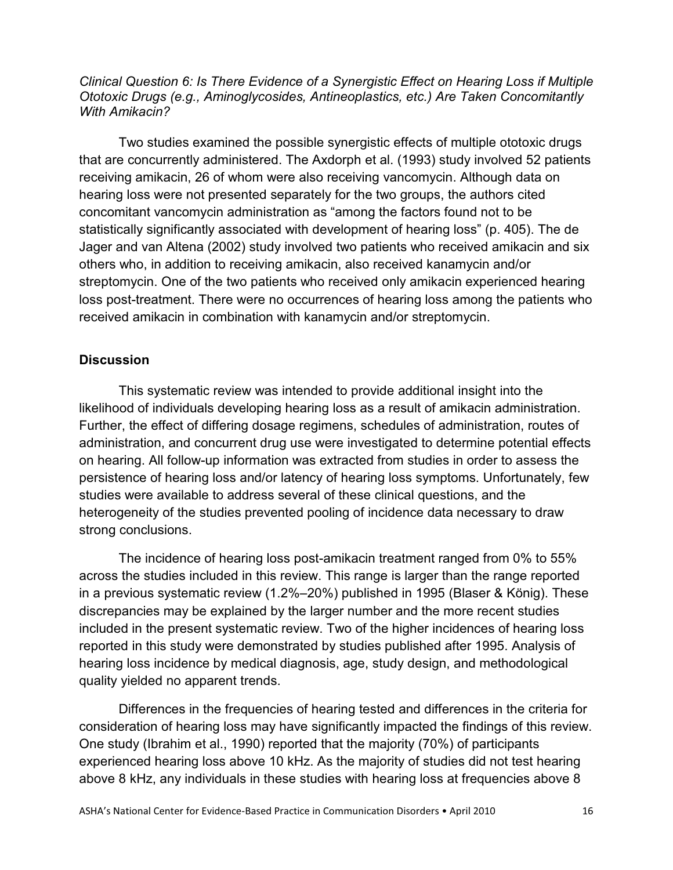*Clinical Question 6: Is There Evidence of a Synergistic Effect on Hearing Loss if Multiple Ototoxic Drugs (e.g., Aminoglycosides, Antineoplastics, etc.) Are Taken Concomitantly With Amikacin?*

Two studies examined the possible synergistic effects of multiple ototoxic drugs that are concurrently administered. The Axdorph et al. (1993) study involved 52 patients receiving amikacin, 26 of whom were also receiving vancomycin. Although data on hearing loss were not presented separately for the two groups, the authors cited concomitant vancomycin administration as "among the factors found not to be statistically significantly associated with development of hearing loss" (p. 405). The de Jager and van Altena (2002) study involved two patients who received amikacin and six others who, in addition to receiving amikacin, also received kanamycin and/or streptomycin. One of the two patients who received only amikacin experienced hearing loss post-treatment. There were no occurrences of hearing loss among the patients who received amikacin in combination with kanamycin and/or streptomycin.

#### **Discussion**

This systematic review was intended to provide additional insight into the likelihood of individuals developing hearing loss as a result of amikacin administration. Further, the effect of differing dosage regimens, schedules of administration, routes of administration, and concurrent drug use were investigated to determine potential effects on hearing. All follow-up information was extracted from studies in order to assess the persistence of hearing loss and/or latency of hearing loss symptoms. Unfortunately, few studies were available to address several of these clinical questions, and the heterogeneity of the studies prevented pooling of incidence data necessary to draw strong conclusions.

The incidence of hearing loss post-amikacin treatment ranged from 0% to 55% across the studies included in this review. This range is larger than the range reported in a previous systematic review (1.2%–20%) published in 1995 (Blaser & König). These discrepancies may be explained by the larger number and the more recent studies included in the present systematic review. Two of the higher incidences of hearing loss reported in this study were demonstrated by studies published after 1995. Analysis of hearing loss incidence by medical diagnosis, age, study design, and methodological quality yielded no apparent trends.

Differences in the frequencies of hearing tested and differences in the criteria for consideration of hearing loss may have significantly impacted the findings of this review. One study (Ibrahim et al., 1990) reported that the majority (70%) of participants experienced hearing loss above 10 kHz. As the majority of studies did not test hearing above 8 kHz, any individuals in these studies with hearing loss at frequencies above 8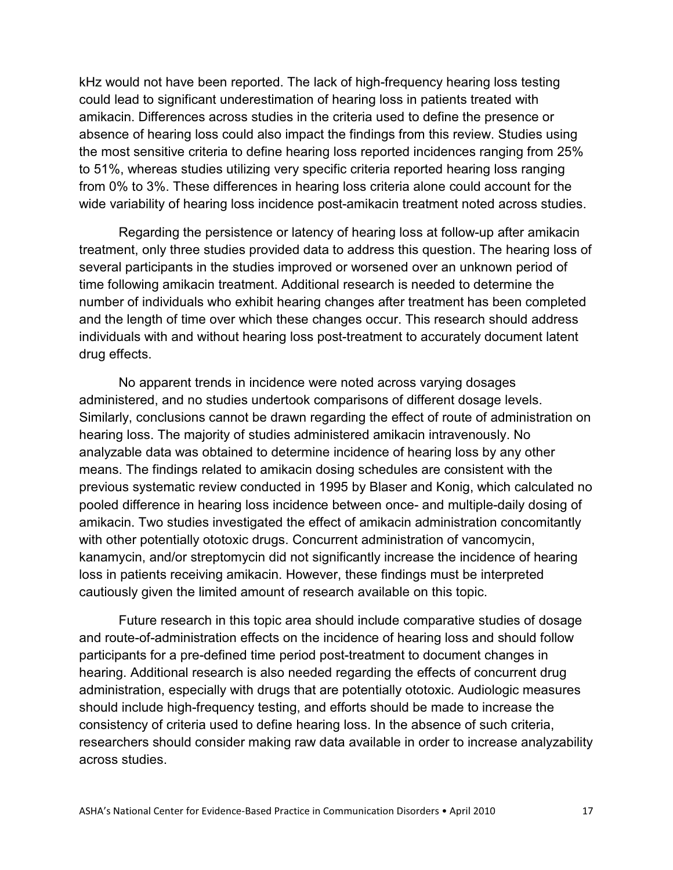kHz would not have been reported. The lack of high-frequency hearing loss testing could lead to significant underestimation of hearing loss in patients treated with amikacin. Differences across studies in the criteria used to define the presence or absence of hearing loss could also impact the findings from this review. Studies using the most sensitive criteria to define hearing loss reported incidences ranging from 25% to 51%, whereas studies utilizing very specific criteria reported hearing loss ranging from 0% to 3%. These differences in hearing loss criteria alone could account for the wide variability of hearing loss incidence post-amikacin treatment noted across studies.

Regarding the persistence or latency of hearing loss at follow-up after amikacin treatment, only three studies provided data to address this question. The hearing loss of several participants in the studies improved or worsened over an unknown period of time following amikacin treatment. Additional research is needed to determine the number of individuals who exhibit hearing changes after treatment has been completed and the length of time over which these changes occur. This research should address individuals with and without hearing loss post-treatment to accurately document latent drug effects.

No apparent trends in incidence were noted across varying dosages administered, and no studies undertook comparisons of different dosage levels. Similarly, conclusions cannot be drawn regarding the effect of route of administration on hearing loss. The majority of studies administered amikacin intravenously. No analyzable data was obtained to determine incidence of hearing loss by any other means. The findings related to amikacin dosing schedules are consistent with the previous systematic review conducted in 1995 by Blaser and Konig, which calculated no pooled difference in hearing loss incidence between once- and multiple-daily dosing of amikacin. Two studies investigated the effect of amikacin administration concomitantly with other potentially ototoxic drugs. Concurrent administration of vancomycin, kanamycin, and/or streptomycin did not significantly increase the incidence of hearing loss in patients receiving amikacin. However, these findings must be interpreted cautiously given the limited amount of research available on this topic.

Future research in this topic area should include comparative studies of dosage and route-of-administration effects on the incidence of hearing loss and should follow participants for a pre-defined time period post-treatment to document changes in hearing. Additional research is also needed regarding the effects of concurrent drug administration, especially with drugs that are potentially ototoxic. Audiologic measures should include high-frequency testing, and efforts should be made to increase the consistency of criteria used to define hearing loss. In the absence of such criteria, researchers should consider making raw data available in order to increase analyzability across studies.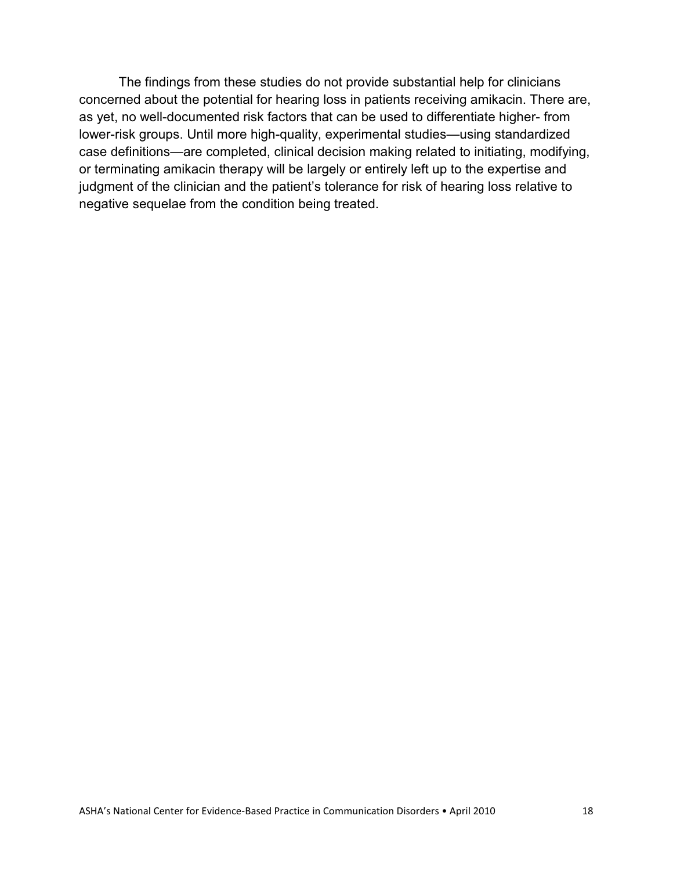The findings from these studies do not provide substantial help for clinicians concerned about the potential for hearing loss in patients receiving amikacin. There are, as yet, no well-documented risk factors that can be used to differentiate higher- from lower-risk groups. Until more high-quality, experimental studies—using standardized case definitions—are completed, clinical decision making related to initiating, modifying, or terminating amikacin therapy will be largely or entirely left up to the expertise and judgment of the clinician and the patient's tolerance for risk of hearing loss relative to negative sequelae from the condition being treated.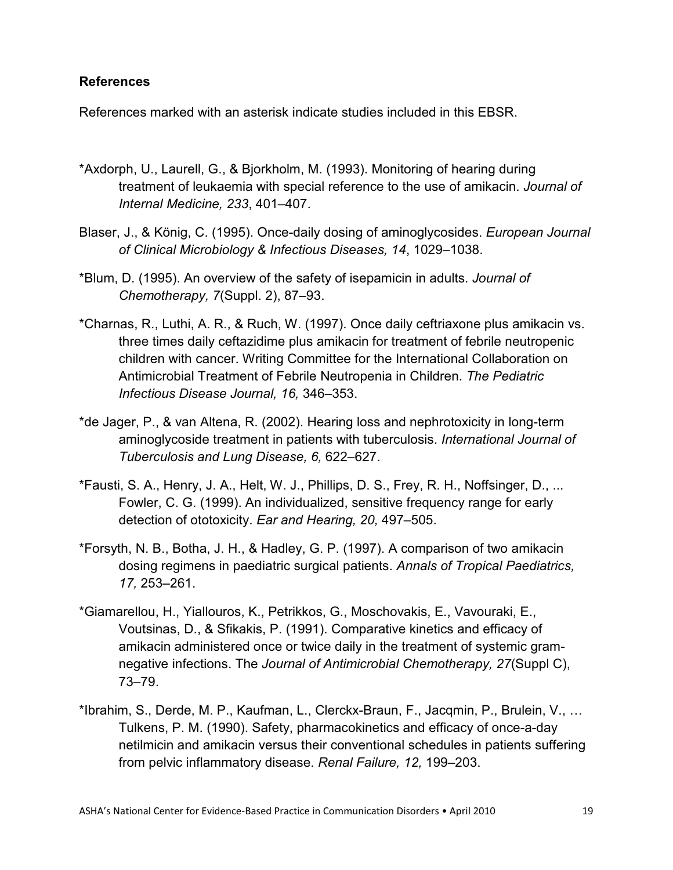## **References**

References marked with an asterisk indicate studies included in this EBSR.

- \*Axdorph, U., Laurell, G., & Bjorkholm, M. (1993). Monitoring of hearing during treatment of leukaemia with special reference to the use of amikacin. *Journal of Internal Medicine, 233*, 401–407.
- Blaser, J., & König, C. (1995). Once-daily dosing of aminoglycosides. *European Journal of Clinical Microbiology & Infectious Diseases, 14*, 1029–1038.
- \*Blum, D. (1995). An overview of the safety of isepamicin in adults. *Journal of Chemotherapy, 7*(Suppl. 2), 87–93.
- \*Charnas, R., Luthi, A. R., & Ruch, W. (1997). Once daily ceftriaxone plus amikacin vs. three times daily ceftazidime plus amikacin for treatment of febrile neutropenic children with cancer. Writing Committee for the International Collaboration on Antimicrobial Treatment of Febrile Neutropenia in Children. *The Pediatric Infectious Disease Journal, 16,* 346–353.
- \*de Jager, P., & van Altena, R. (2002). Hearing loss and nephrotoxicity in long-term aminoglycoside treatment in patients with tuberculosis. *International Journal of Tuberculosis and Lung Disease, 6,* 622–627.
- \*Fausti, S. A., Henry, J. A., Helt, W. J., Phillips, D. S., Frey, R. H., Noffsinger, D., ... Fowler, C. G. (1999). An individualized, sensitive frequency range for early detection of ototoxicity. *Ear and Hearing, 20,* 497–505.
- \*Forsyth, N. B., Botha, J. H., & Hadley, G. P. (1997). A comparison of two amikacin dosing regimens in paediatric surgical patients. *Annals of Tropical Paediatrics, 17,* 253–261.
- \*Giamarellou, H., Yiallouros, K., Petrikkos, G., Moschovakis, E., Vavouraki, E., Voutsinas, D., & Sfikakis, P. (1991). Comparative kinetics and efficacy of amikacin administered once or twice daily in the treatment of systemic gramnegative infections. The *Journal of Antimicrobial Chemotherapy, 27*(Suppl C), 73–79.
- \*Ibrahim, S., Derde, M. P., Kaufman, L., Clerckx-Braun, F., Jacqmin, P., Brulein, V., … Tulkens, P. M. (1990). Safety, pharmacokinetics and efficacy of once-a-day netilmicin and amikacin versus their conventional schedules in patients suffering from pelvic inflammatory disease. *Renal Failure, 12,* 199–203.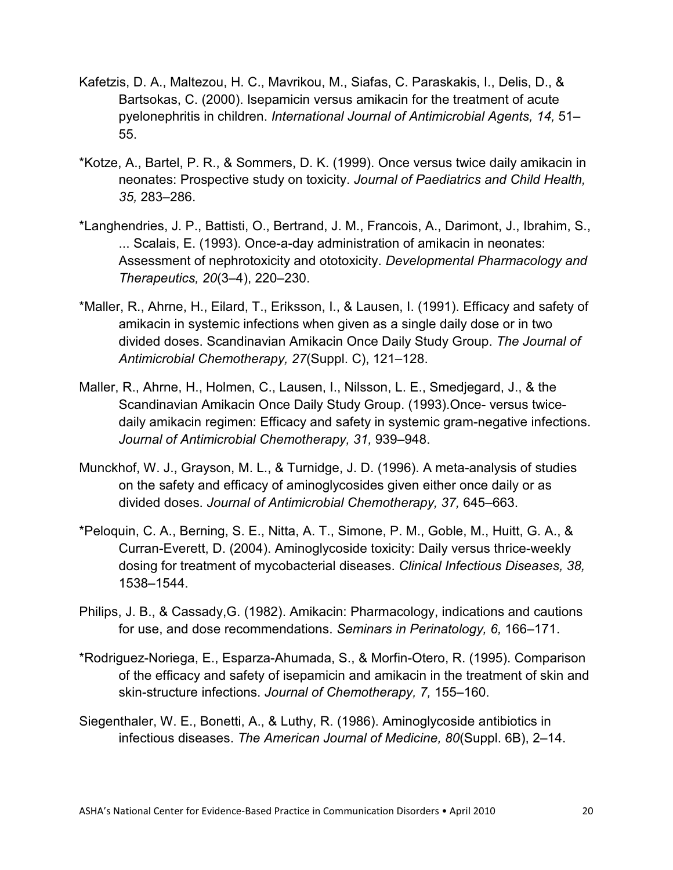- Kafetzis, D. A., Maltezou, H. C., Mavrikou, M., Siafas, C. Paraskakis, I., Delis, D., & Bartsokas, C. (2000). Isepamicin versus amikacin for the treatment of acute pyelonephritis in children. *International Journal of Antimicrobial Agents, 14,* 51– 55.
- \*Kotze, A., Bartel, P. R., & Sommers, D. K. (1999). Once versus twice daily amikacin in neonates: Prospective study on toxicity. *Journal of Paediatrics and Child Health, 35,* 283–286.
- \*Langhendries, J. P., Battisti, O., Bertrand, J. M., Francois, A., Darimont, J., Ibrahim, S., ... Scalais, E. (1993). Once-a-day administration of amikacin in neonates: Assessment of nephrotoxicity and ototoxicity. *Developmental Pharmacology and Therapeutics, 20*(3–4), 220–230.
- \*Maller, R., Ahrne, H., Eilard, T., Eriksson, I., & Lausen, I. (1991). Efficacy and safety of amikacin in systemic infections when given as a single daily dose or in two divided doses. Scandinavian Amikacin Once Daily Study Group. *The Journal of Antimicrobial Chemotherapy, 27*(Suppl. C), 121–128.
- Maller, R., Ahrne, H., Holmen, C., Lausen, I., Nilsson, L. E., Smedjegard, J., & the Scandinavian Amikacin Once Daily Study Group. (1993).Once- versus twicedaily amikacin regimen: Efficacy and safety in systemic gram-negative infections. *Journal of Antimicrobial Chemotherapy, 31,* 939–948.
- Munckhof, W. J., Grayson, M. L., & Turnidge, J. D. (1996). A meta-analysis of studies on the safety and efficacy of aminoglycosides given either once daily or as divided doses. *Journal of Antimicrobial Chemotherapy, 37,* 645–663.
- \*Peloquin, C. A., Berning, S. E., Nitta, A. T., Simone, P. M., Goble, M., Huitt, G. A., & Curran-Everett, D. (2004). Aminoglycoside toxicity: Daily versus thrice-weekly dosing for treatment of mycobacterial diseases. *Clinical Infectious Diseases, 38,* 1538–1544.
- Philips, J. B., & Cassady,G. (1982). Amikacin: Pharmacology, indications and cautions for use, and dose recommendations. *Seminars in Perinatology, 6,* 166–171.
- \*Rodriguez-Noriega, E., Esparza-Ahumada, S., & Morfin-Otero, R. (1995). Comparison of the efficacy and safety of isepamicin and amikacin in the treatment of skin and skin-structure infections. *Journal of Chemotherapy, 7,* 155–160.
- Siegenthaler, W. E., Bonetti, A., & Luthy, R. (1986). Aminoglycoside antibiotics in infectious diseases. *The American Journal of Medicine, 80*(Suppl. 6B), 2–14.